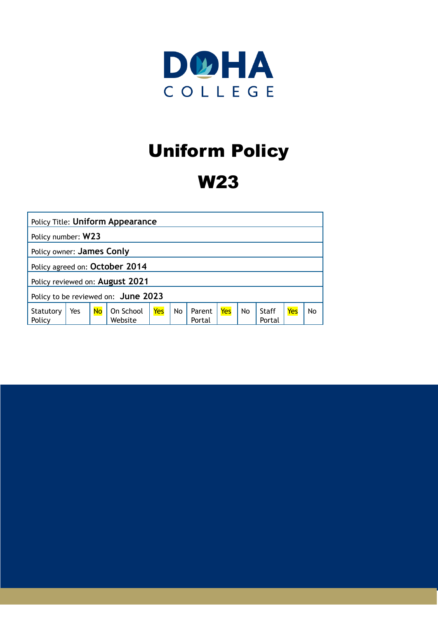

# Uniform Policy

# W23

| Policy Title: Uniform Appearance    |     |           |                      |     |    |                  |     |    |                 |     |    |
|-------------------------------------|-----|-----------|----------------------|-----|----|------------------|-----|----|-----------------|-----|----|
| Policy number: W23                  |     |           |                      |     |    |                  |     |    |                 |     |    |
| Policy owner: James Conly           |     |           |                      |     |    |                  |     |    |                 |     |    |
| Policy agreed on: October 2014      |     |           |                      |     |    |                  |     |    |                 |     |    |
| Policy reviewed on: August 2021     |     |           |                      |     |    |                  |     |    |                 |     |    |
| Policy to be reviewed on: June 2023 |     |           |                      |     |    |                  |     |    |                 |     |    |
| Statutory<br>Policy                 | Yes | <b>No</b> | On School<br>Website | Yes | No | Parent<br>Portal | Yes | No | Staff<br>Portal | Yes | No |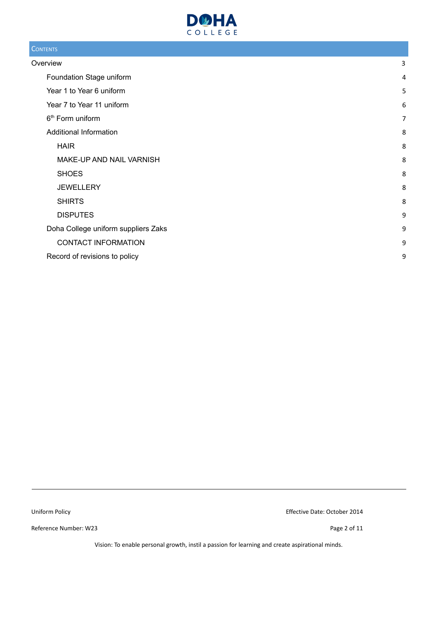

#### **CONTENTS**

| Overview                            | 3              |
|-------------------------------------|----------------|
| Foundation Stage uniform            | 4              |
| Year 1 to Year 6 uniform            | 5              |
| Year 7 to Year 11 uniform           | 6              |
| 6 <sup>th</sup> Form uniform        | $\overline{7}$ |
| Additional Information              | 8              |
| <b>HAIR</b>                         | 8              |
| MAKE-UP AND NAIL VARNISH            | 8              |
| <b>SHOES</b>                        | 8              |
| <b>JEWELLERY</b>                    | 8              |
| <b>SHIRTS</b>                       | 8              |
| <b>DISPUTES</b>                     | 9              |
| Doha College uniform suppliers Zaks | 9              |
| <b>CONTACT INFORMATION</b>          | 9              |
| Record of revisions to policy       | 9              |
|                                     |                |

Reference Number: W23 Page 2 of 11

Uniform Policy Effective Date: October 2014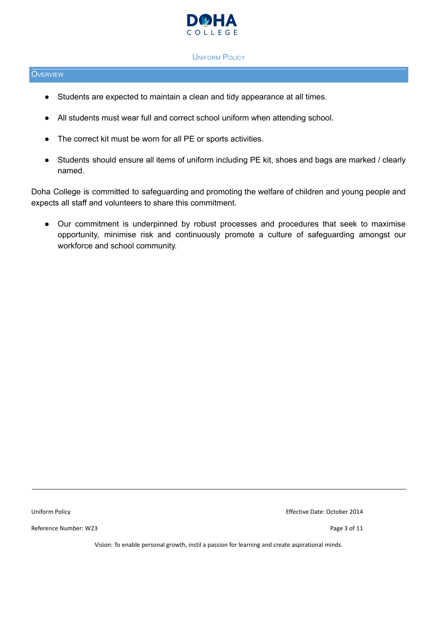

#### UNIFORM POLICY

#### <span id="page-2-0"></span>**O**VERVIEW

- Students are expected to maintain a clean and tidy appearance at all times.
- All students must wear full and correct school uniform when attending school.
- The correct kit must be worn for all PE or sports activities.
- Students should ensure all items of uniform including PE kit, shoes and bags are marked / clearly named.

Doha College is committed to safeguarding and promoting the welfare of children and young people and expects all staff and volunteers to share this commitment.

● Our commitment is underpinned by robust processes and procedures that seek to maximise opportunity, minimise risk and continuously promote a culture of safeguarding amongst our workforce and school community.

Reference Number: W23 Page 3 of 11

Uniform Policy Effective Date: October 2014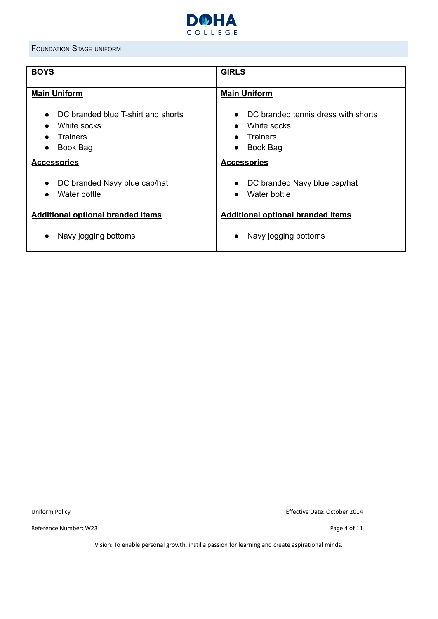

#### <span id="page-3-0"></span>FOUNDATION STAGE UNIFORM

| <b>GIRLS</b>                                                                                                                                   |  |  |  |
|------------------------------------------------------------------------------------------------------------------------------------------------|--|--|--|
| <b>Main Uniform</b>                                                                                                                            |  |  |  |
| DC branded tennis dress with shorts<br>$\bullet$<br>White socks<br>$\bullet$<br><b>Trainers</b><br>Book Bag<br>$\bullet$<br><b>Accessories</b> |  |  |  |
| DC branded Navy blue cap/hat<br>$\bullet$<br>Water bottle<br>$\bullet$                                                                         |  |  |  |
| <b>Additional optional branded items</b><br>Navy jogging bottoms<br>$\bullet$                                                                  |  |  |  |
|                                                                                                                                                |  |  |  |

Reference Number: W23 Page 4 of 11

Uniform Policy Effective Date: October 2014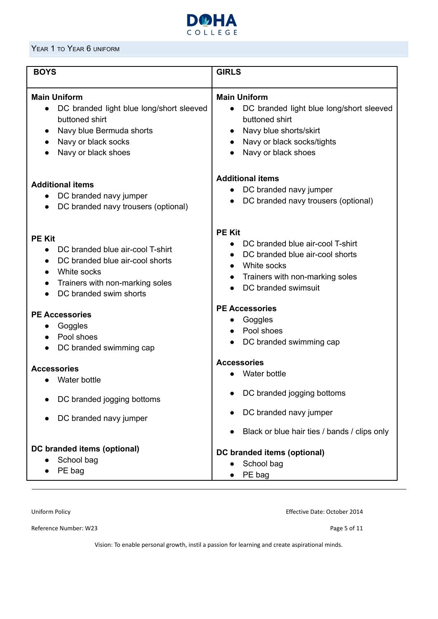

#### <span id="page-4-0"></span>YEAR 1 TO YEAR 6 UNIFORM

| <b>BOYS</b>                                                                                                                                                              | <b>GIRLS</b>                                                                                                                                                                  |  |  |
|--------------------------------------------------------------------------------------------------------------------------------------------------------------------------|-------------------------------------------------------------------------------------------------------------------------------------------------------------------------------|--|--|
| <b>Main Uniform</b><br>DC branded light blue long/short sleeved<br>$\bullet$<br>buttoned shirt<br>Navy blue Bermuda shorts<br>Navy or black socks<br>Navy or black shoes | <b>Main Uniform</b><br>DC branded light blue long/short sleeved<br>$\bullet$<br>buttoned shirt<br>Navy blue shorts/skirt<br>Navy or black socks/tights<br>Navy or black shoes |  |  |
| <b>Additional items</b><br>DC branded navy jumper<br>DC branded navy trousers (optional)                                                                                 | <b>Additional items</b><br>DC branded navy jumper<br>$\bullet$<br>DC branded navy trousers (optional)<br>$\bullet$                                                            |  |  |
| <b>PE Kit</b><br>DC branded blue air-cool T-shirt<br>DC branded blue air-cool shorts<br>White socks<br>Trainers with non-marking soles<br>DC branded swim shorts         | <b>PE Kit</b><br>DC branded blue air-cool T-shirt<br>DC branded blue air-cool shorts<br>White socks<br>Trainers with non-marking soles<br>$\bullet$<br>DC branded swimsuit    |  |  |
| <b>PE Accessories</b><br>Goggles<br>Pool shoes<br>DC branded swimming cap                                                                                                | <b>PE Accessories</b><br>Goggles<br>$\bullet$<br>Pool shoes<br>$\bullet$<br>DC branded swimming cap<br>$\bullet$                                                              |  |  |
| <b>Accessories</b><br>Water bottle<br>DC branded jogging bottoms                                                                                                         | <b>Accessories</b><br>Water bottle<br>DC branded jogging bottoms<br>DC branded navy jumper                                                                                    |  |  |
| DC branded navy jumper                                                                                                                                                   | Black or blue hair ties / bands / clips only                                                                                                                                  |  |  |
| DC branded items (optional)<br>School bag<br>PE bag                                                                                                                      | DC branded items (optional)<br>School bag<br>PE bag                                                                                                                           |  |  |

Uniform Policy Effective Date: October 2014

Reference Number: W23 Page 5 of 11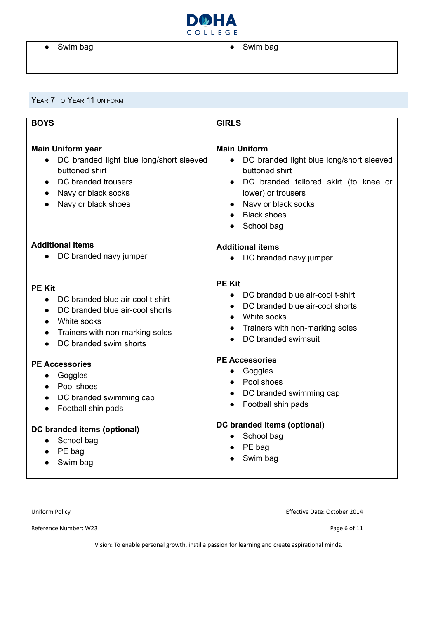

#### <span id="page-5-0"></span>YEAR 7 TO YEAR 11 UNIFORM

| <b>BOYS</b>                                                                                                                                                                                | <b>GIRLS</b>                                                                                                                                                                                                                                       |
|--------------------------------------------------------------------------------------------------------------------------------------------------------------------------------------------|----------------------------------------------------------------------------------------------------------------------------------------------------------------------------------------------------------------------------------------------------|
| <b>Main Uniform year</b><br>DC branded light blue long/short sleeved<br>buttoned shirt<br>DC branded trousers<br>$\bullet$<br>Navy or black socks<br>$\bullet$<br>Navy or black shoes      | <b>Main Uniform</b><br>DC branded light blue long/short sleeved<br>buttoned shirt<br>DC branded tailored skirt (to knee or<br>$\bullet$<br>lower) or trousers<br>Navy or black socks<br>$\bullet$<br><b>Black shoes</b><br>$\bullet$<br>School bag |
| <b>Additional items</b><br>DC branded navy jumper                                                                                                                                          | <b>Additional items</b><br>DC branded navy jumper                                                                                                                                                                                                  |
| <b>PE Kit</b><br>DC branded blue air-cool t-shirt<br>DC branded blue air-cool shorts<br>$\bullet$<br>White socks<br>$\bullet$<br>Trainers with non-marking soles<br>DC branded swim shorts | <b>PE Kit</b><br>DC branded blue air-cool t-shirt<br>DC branded blue air-cool shorts<br>White socks<br>$\bullet$<br>Trainers with non-marking soles<br>$\bullet$<br>DC branded swimsuit                                                            |
| <b>PE Accessories</b><br>Goggles<br>$\bullet$<br>Pool shoes<br>$\bullet$<br>DC branded swimming cap<br>$\bullet$<br>Football shin pads                                                     | <b>PE Accessories</b><br>Goggles<br>Pool shoes<br>$\bullet$<br>DC branded swimming cap<br>Football shin pads<br>$\bullet$                                                                                                                          |
| DC branded items (optional)<br>School bag<br>PE bag<br>Swim bag                                                                                                                            | DC branded items (optional)<br>School bag<br>$\bullet$<br>PE bag<br>Swim bag                                                                                                                                                                       |

Reference Number: W23 Page 6 of 11

Uniform Policy Effective Date: October 2014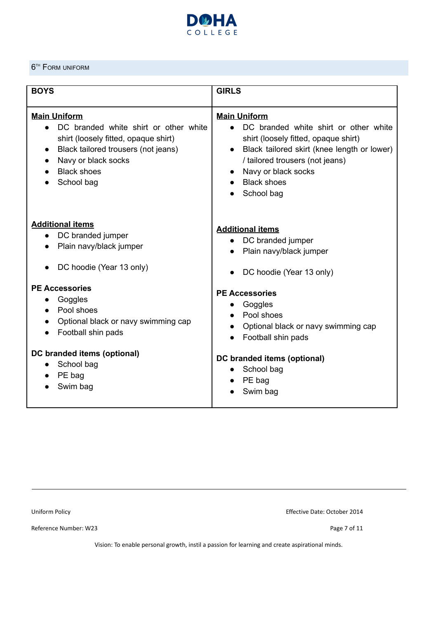

#### <span id="page-6-0"></span>**6<sup>TH</sup>** FORM UNIFORM

| <b>BOYS</b>                                                                                                                                                                                            | <b>GIRLS</b>                                                                                                                                                                                                                                      |
|--------------------------------------------------------------------------------------------------------------------------------------------------------------------------------------------------------|---------------------------------------------------------------------------------------------------------------------------------------------------------------------------------------------------------------------------------------------------|
| <b>Main Uniform</b><br>DC branded white shirt or other white<br>shirt (loosely fitted, opaque shirt)<br>Black tailored trousers (not jeans)<br>Navy or black socks<br><b>Black shoes</b><br>School bag | <b>Main Uniform</b><br>DC branded white shirt or other white<br>shirt (loosely fitted, opaque shirt)<br>Black tailored skirt (knee length or lower)<br>/ tailored trousers (not jeans)<br>Navy or black socks<br><b>Black shoes</b><br>School bag |
| <b>Additional items</b><br>DC branded jumper<br>$\bullet$<br>Plain navy/black jumper<br>DC hoodie (Year 13 only)                                                                                       | <b>Additional items</b><br>DC branded jumper<br>Plain navy/black jumper<br>DC hoodie (Year 13 only)                                                                                                                                               |
| <b>PE Accessories</b><br>Goggles<br>Pool shoes<br>Optional black or navy swimming cap<br>Football shin pads                                                                                            | <b>PE Accessories</b><br>Goggles<br>Pool shoes<br>Optional black or navy swimming cap<br>Football shin pads                                                                                                                                       |
| DC branded items (optional)<br>School bag<br>PE bag<br>Swim bag                                                                                                                                        | DC branded items (optional)<br>School bag<br>PE bag<br>Swim bag                                                                                                                                                                                   |

Reference Number: W23 Page 7 of 11

Uniform Policy Effective Date: October 2014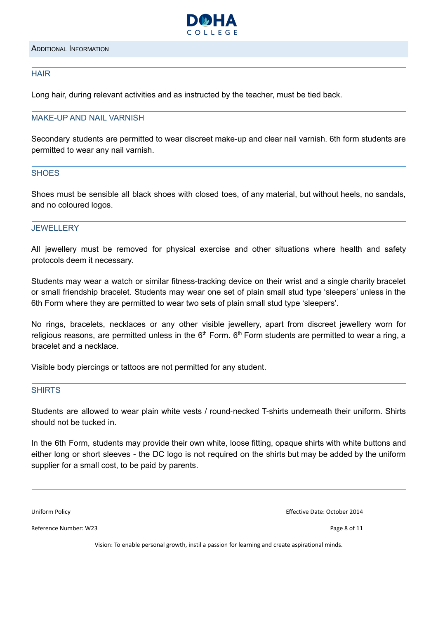

#### <span id="page-7-1"></span><span id="page-7-0"></span>**HAIR**

Long hair, during relevant activities and as instructed by the teacher, must be tied back.

#### <span id="page-7-2"></span>MAKE-UP AND NAIL VARNISH

Secondary students are permitted to wear discreet make-up and clear nail varnish. 6th form students are permitted to wear any nail varnish.

#### <span id="page-7-3"></span>**SHOES**

Shoes must be sensible all black shoes with closed toes, of any material, but without heels, no sandals, and no coloured logos.

#### <span id="page-7-4"></span>**JEWELLERY**

All jewellery must be removed for physical exercise and other situations where health and safety protocols deem it necessary.

Students may wear a watch or similar fitness-tracking device on their wrist and a single charity bracelet or small friendship bracelet. Students may wear one set of plain small stud type 'sleepers' unless in the 6th Form where they are permitted to wear two sets of plain small stud type 'sleepers'.

No rings, bracelets, necklaces or any other visible jewellery, apart from discreet jewellery worn for religious reasons, are permitted unless in the  $6<sup>th</sup>$  Form.  $6<sup>th</sup>$  Form students are permitted to wear a ring, a bracelet and a necklace.

Visible body piercings or tattoos are not permitted for any student.

#### <span id="page-7-5"></span>SHIRTS

Students are allowed to wear plain white vests / round‐necked T-shirts underneath their uniform. Shirts should not be tucked in.

In the 6th Form, students may provide their own white, loose fitting, opaque shirts with white buttons and either long or short sleeves - the DC logo is not required on the shirts but may be added by the uniform supplier for a small cost, to be paid by parents.

Reference Number: W23 Page 8 of 11

Uniform Policy Effective Date: October 2014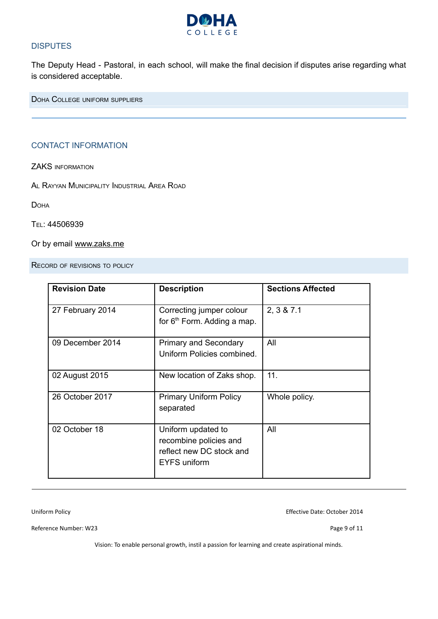

#### **DISPUTES**

The Deputy Head - Pastoral, in each school, will make the final decision if disputes arise regarding what is considered acceptable.

<span id="page-8-1"></span><span id="page-8-0"></span>DOHA COLLEGE UNIFORM SUPPLIERS

#### CONTACT INFORMATION

ZAKS INFORMATION

AL RAYYAN MUNICIPALITY INDUSTRIAL AREA ROAD

**DOHA** 

#### TEL: 44506939

Or by email [www.zaks.me](http://www.zaks.me)

<span id="page-8-2"></span>RECORD OF REVISIONS TO POLICY

| <b>Revision Date</b> | <b>Description</b>                                                                       | <b>Sections Affected</b> |
|----------------------|------------------------------------------------------------------------------------------|--------------------------|
| 27 February 2014     | Correcting jumper colour<br>for $6th$ Form. Adding a map.                                | 2, 3 & 7.1               |
| 09 December 2014     | <b>Primary and Secondary</b><br>Uniform Policies combined.                               | All                      |
| 02 August 2015       | New location of Zaks shop.                                                               | 11.                      |
| 26 October 2017      | <b>Primary Uniform Policy</b><br>separated                                               | Whole policy.            |
| 02 October 18        | Uniform updated to<br>recombine policies and<br>reflect new DC stock and<br>EYFS uniform | All                      |

Uniform Policy Effective Date: October 2014

Reference Number: W23 Page 9 of 11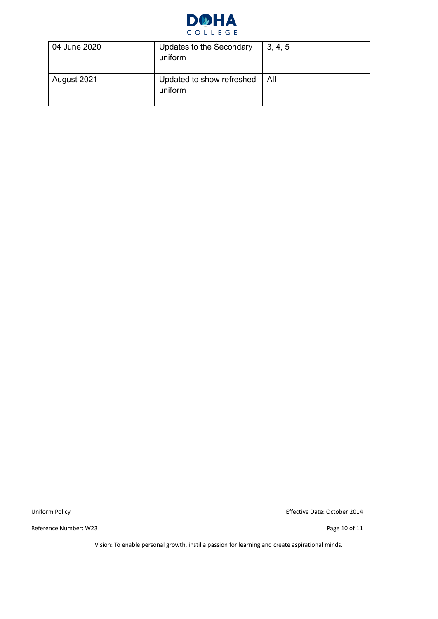

| 04 June 2020 | Updates to the Secondary<br>uniform  | 3, 4, 5 |
|--------------|--------------------------------------|---------|
| August 2021  | Updated to show refreshed<br>uniform | l All   |

Reference Number: W23 Page 10 of 11

Uniform Policy Effective Date: October 2014